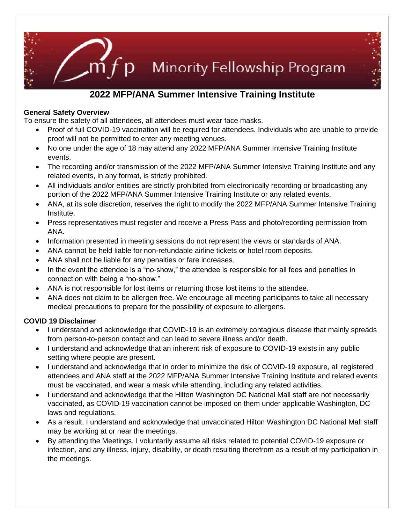

# **2022 MFP/ANA Summer Intensive Training Institute**

## **General Safety Overview**

To ensure the safety of all attendees, all attendees must wear face masks.

- Proof of full COVID-19 vaccination will be required for attendees. Individuals who are unable to provide proof will not be permitted to enter any meeting venues.
- No one under the age of 18 may attend any 2022 MFP/ANA Summer Intensive Training Institute events.
- The recording and/or transmission of the 2022 MFP/ANA Summer Intensive Training Institute and any related events, in any format, is strictly prohibited.
- All individuals and/or entities are strictly prohibited from electronically recording or broadcasting any portion of the 2022 MFP/ANA Summer Intensive Training Institute or any related events.
- ANA, at its sole discretion, reserves the right to modify the 2022 MFP/ANA Summer Intensive Training Institute.
- Press representatives must register and receive a Press Pass and photo/recording permission from ANA.
- Information presented in meeting sessions do not represent the views or standards of ANA.
- ANA cannot be held liable for non-refundable airline tickets or hotel room deposits.
- ANA shall not be liable for any penalties or fare increases.
- In the event the attendee is a "no-show," the attendee is responsible for all fees and penalties in connection with being a "no-show."
- ANA is not responsible for lost items or returning those lost items to the attendee.
- ANA does not claim to be allergen free. We encourage all meeting participants to take all necessary medical precautions to prepare for the possibility of exposure to allergens.

# **COVID 19 Disclaimer**

- I understand and acknowledge that COVID-19 is an extremely contagious disease that mainly spreads from person-to-person contact and can lead to severe illness and/or death.
- I understand and acknowledge that an inherent risk of exposure to COVID-19 exists in any public setting where people are present.
- I understand and acknowledge that in order to minimize the risk of COVID-19 exposure, all registered attendees and ANA staff at the 2022 MFP/ANA Summer Intensive Training Institute and related events must be vaccinated, and wear a mask while attending, including any related activities.
- I understand and acknowledge that the Hilton Washington DC National Mall staff are not necessarily vaccinated, as COVID-19 vaccination cannot be imposed on them under applicable Washington, DC laws and regulations.
- As a result, I understand and acknowledge that unvaccinated Hilton Washington DC National Mall staff may be working at or near the meetings.
- By attending the Meetings, I voluntarily assume all risks related to potential COVID-19 exposure or infection, and any illness, injury, disability, or death resulting therefrom as a result of my participation in the meetings.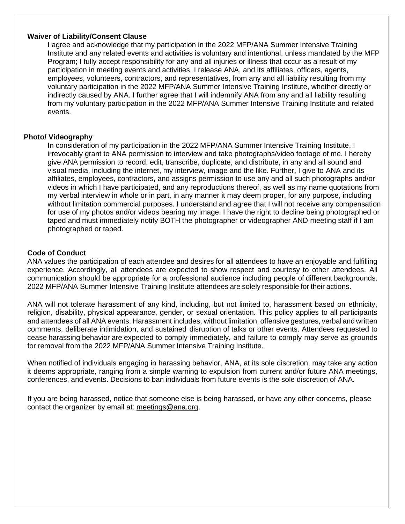### **Waiver of Liability/Consent Clause**

I agree and acknowledge that my participation in the 2022 MFP/ANA Summer Intensive Training Institute and any related events and activities is voluntary and intentional, unless mandated by the MFP Program; I fully accept responsibility for any and all injuries or illness that occur as a result of my participation in meeting events and activities. I release ANA, and its affiliates, officers, agents, employees, volunteers, contractors, and representatives, from any and all liability resulting from my voluntary participation in the 2022 MFP/ANA Summer Intensive Training Institute, whether directly or indirectly caused by ANA. I further agree that I will indemnify ANA from any and all liability resulting from my voluntary participation in the 2022 MFP/ANA Summer Intensive Training Institute and related events.

#### **Photo/ Videography**

In consideration of my participation in the 2022 MFP/ANA Summer Intensive Training Institute, I irrevocably grant to ANA permission to interview and take photographs/video footage of me. I hereby give ANA permission to record, edit, transcribe, duplicate, and distribute, in any and all sound and visual media, including the internet, my interview, image and the like. Further, I give to ANA and its affiliates, employees, contractors, and assigns permission to use any and all such photographs and/or videos in which I have participated, and any reproductions thereof, as well as my name quotations from my verbal interview in whole or in part, in any manner it may deem proper, for any purpose, including without limitation commercial purposes. I understand and agree that I will not receive any compensation for use of my photos and/or videos bearing my image. I have the right to decline being photographed or taped and must immediately notify BOTH the photographer or videographer AND meeting staff if I am photographed or taped.

#### **Code of Conduct**

ANA values the participation of each attendee and desires for all attendees to have an enjoyable and fulfilling experience. Accordingly, all attendees are expected to show respect and courtesy to other attendees. All communication should be appropriate for a professional audience including people of different backgrounds. 2022 MFP/ANA Summer Intensive Training Institute attendees are solely responsible for their actions.

ANA will not tolerate harassment of any kind, including, but not limited to, harassment based on ethnicity, religion, disability, physical appearance, gender, or sexual orientation. This policy applies to all participants and attendees of all ANA events. Harassment includes, without limitation, offensive gestures, verbal and written comments, deliberate intimidation, and sustained disruption of talks or other events. Attendees requested to cease harassing behavior are expected to comply immediately, and failure to comply may serve as grounds for removal from the 2022 MFP/ANA Summer Intensive Training Institute.

When notified of individuals engaging in harassing behavior, ANA, at its sole discretion, may take any action it deems appropriate, ranging from a simple warning to expulsion from current and/or future ANA meetings, conferences, and events. Decisions to ban individuals from future events is the sole discretion of ANA.

If you are being harassed, notice that someone else is being harassed, or have any other concerns, please contact the organizer by email at: [meetings@ana.org.](mailto:meetings@ana.org)